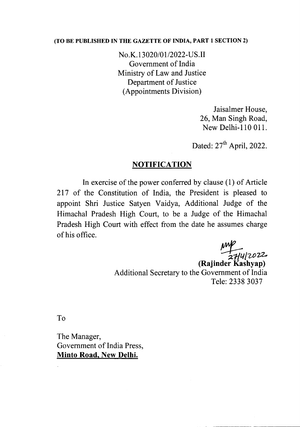## (TO BE PUBLISHED IN THE GAZETTE OF INDIA, PART 1 SECTION 2)

No.K.13020/01/2022-US.II Government of India Ministry of Law and Justice Department of Justice (Appointments Division)

> Jaisalmer House, 26, Man Singh Road, New Delhi-l 10 OIl.

Dated:  $27<sup>th</sup>$  April, 2022.

## **NOTIFICATION**

In exercise of the power conferred by clause (l) of Article 217 of the Constitution of India, the President is pleased to appoint Shri Justice Satyen Vaidya, Additional Judge of the Himachal Pradesh High Court, to be a Judge of the Himachal Pradesh High Court with effect from the date he assumes charge of his office.

*~/UJ-a.*

(Rajinder Kashyap) Additional Secretary to the Government of India Tele: 2338 3037

To

The Manager, Government of India Press, Minto Road, New Delhi.